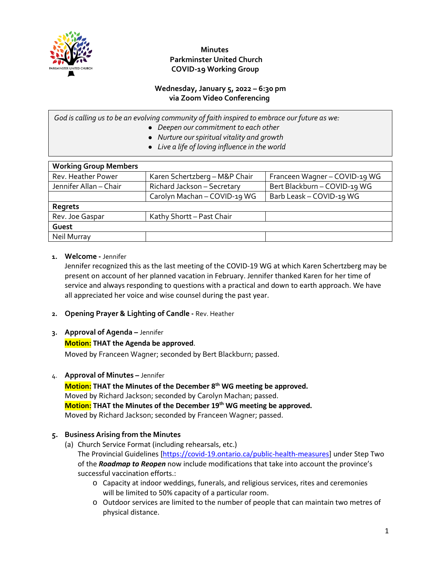

## **Wednesday, January 5, 2022 – 6:30 pm via Zoom Video Conferencing**

*God is calling us to be an evolving community of faith inspired to embrace our future as we:*

- *Deepen our commitment to each other*
- *Nurture our spiritual vitality and growth*
- *Live a life of loving influence in the world*

| <b>Working Group Members</b> |                               |                               |  |
|------------------------------|-------------------------------|-------------------------------|--|
| Rev. Heather Power           | Karen Schertzberg - M&P Chair | Franceen Wagner - COVID-19 WG |  |
| Jennifer Allan - Chair       | Richard Jackson - Secretary   | Bert Blackburn - COVID-19 WG  |  |
|                              | Carolyn Machan - COVID-19 WG  | Barb Leask - COVID-19 WG      |  |
| Regrets                      |                               |                               |  |
| Rev. Joe Gaspar              | Kathy Shortt - Past Chair     |                               |  |
| Guest                        |                               |                               |  |
| <b>Neil Murray</b>           |                               |                               |  |

### **1. Welcome -** Jennifer

Jennifer recognized this as the last meeting of the COVID-19 WG at which Karen Schertzberg may be present on account of her planned vacation in February. Jennifer thanked Karen for her time of service and always responding to questions with a practical and down to earth approach. We have all appreciated her voice and wise counsel during the past year.

- **2. Opening Prayer & Lighting of Candle -** Rev. Heather
- **3. Approval of Agenda –** Jennifer

## **Motion: THAT the Agenda be approved**.

Moved by Franceen Wagner; seconded by Bert Blackburn; passed.

4. **Approval of Minutes –** Jennifer

**Motion: THAT the Minutes of the December 8th WG meeting be approved.** Moved by Richard Jackson; seconded by Carolyn Machan; passed. **Motion: THAT the Minutes of the December 19th WG meeting be approved.** Moved by Richard Jackson; seconded by Franceen Wagner; passed.

## **5. Business Arising from the Minutes**

- (a) Church Service Format (including rehearsals, etc.) The Provincial Guidelines [\[https://covid-19.ontario.ca/public-health-measures\]](about:blank) under Step Two of the *Roadmap to Reopen* now include modifications that take into account the province's successful vaccination efforts.:
	- o Capacity at indoor weddings, funerals, and religious services, rites and ceremonies will be limited to 50% capacity of a particular room.
	- o Outdoor services are limited to the number of people that can maintain two metres of physical distance.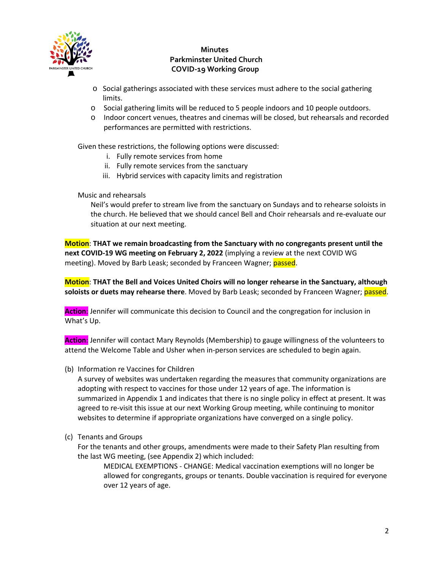

- o Social gatherings associated with these services must adhere to the social gathering limits.
- o Social gathering limits will be reduced to 5 people indoors and 10 people outdoors.
- o Indoor concert venues, theatres and cinemas will be closed, but rehearsals and recorded performances are permitted with restrictions.

Given these restrictions, the following options were discussed:

- i. Fully remote services from home
- ii. Fully remote services from the sanctuary
- iii. Hybrid services with capacity limits and registration

### Music and rehearsals

Neil's would prefer to stream live from the sanctuary on Sundays and to rehearse soloists in the church. He believed that we should cancel Bell and Choir rehearsals and re-evaluate our situation at our next meeting.

**Motion**: **THAT we remain broadcasting from the Sanctuary with no congregants present until the next COVID-19 WG meeting on February 2, 2022** (implying a review at the next COVID WG meeting). Moved by Barb Leask; seconded by Franceen Wagner; passed.

**Motion**: **THAT the Bell and Voices United Choirs will no longer rehearse in the Sanctuary, although soloists or duets may rehearse there**. Moved by Barb Leask; seconded by Franceen Wagner; passed.

**Action**: Jennifer will communicate this decision to Council and the congregation for inclusion in What's Up.

**Action**: Jennifer will contact Mary Reynolds (Membership) to gauge willingness of the volunteers to attend the Welcome Table and Usher when in-person services are scheduled to begin again.

(b) Information re Vaccines for Children

A survey of websites was undertaken regarding the measures that community organizations are adopting with respect to vaccines for those under 12 years of age. The information is summarized in Appendix 1 and indicates that there is no single policy in effect at present. It was agreed to re-visit this issue at our next Working Group meeting, while continuing to monitor websites to determine if appropriate organizations have converged on a single policy.

(c) Tenants and Groups

For the tenants and other groups, amendments were made to their Safety Plan resulting from the last WG meeting, (see Appendix 2) which included:

MEDICAL EXEMPTIONS - CHANGE: Medical vaccination exemptions will no longer be allowed for congregants, groups or tenants. Double vaccination is required for everyone over 12 years of age.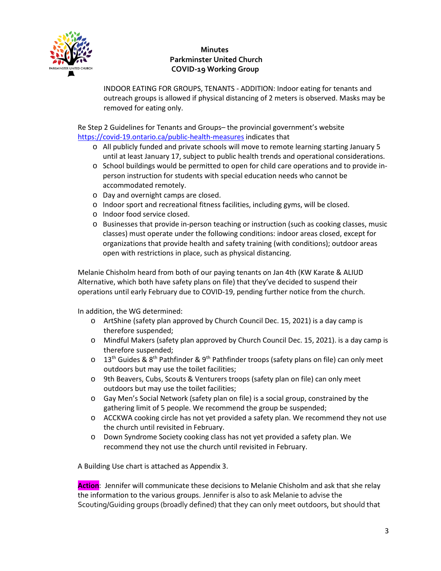

INDOOR EATING FOR GROUPS, TENANTS - ADDITION: Indoor eating for tenants and outreach groups is allowed if physical distancing of 2 meters is observed. Masks may be removed for eating only.

Re Step 2 Guidelines for Tenants and Groups– the provincial government's website [https://covid-19.ontario.ca/public-health-measures](about:blank) indicates that

- o All publicly funded and private schools will move to remote learning starting January 5 until at least January 17, subject to public health trends and operational considerations.
- o School buildings would be permitted to open for child care operations and to provide inperson instruction for students with special education needs who cannot be accommodated remotely.
- o Day and overnight camps are closed.
- o Indoor sport and recreational fitness facilities, including gyms, will be closed.
- o Indoor food service closed.
- o Businesses that provide in-person teaching or instruction (such as cooking classes, music classes) must operate under the following conditions: indoor areas closed, except for organizations that provide health and safety training (with conditions); outdoor areas open with restrictions in place, such as physical distancing.

Melanie Chisholm heard from both of our paying tenants on Jan 4th (KW Karate & ALIUD Alternative, which both have safety plans on file) that they've decided to suspend their operations until early February due to COVID-19, pending further notice from the church.

In addition, the WG determined:

- o ArtShine (safety plan approved by Church Council Dec. 15, 2021) is a day camp is therefore suspended;
- o Mindful Makers (safety plan approved by Church Council Dec. 15, 2021). is a day camp is therefore suspended;
- $\circ$  13<sup>th</sup> Guides & 8<sup>th</sup> Pathfinder & 9<sup>th</sup> Pathfinder troops (safety plans on file) can only meet outdoors but may use the toilet facilities;
- o 9th Beavers, Cubs, Scouts & Venturers troops (safety plan on file) can only meet outdoors but may use the toilet facilities;
- o Gay Men's Social Network (safety plan on file) is a social group, constrained by the gathering limit of 5 people. We recommend the group be suspended;
- o ACCKWA cooking circle has not yet provided a safety plan. We recommend they not use the church until revisited in February.
- o Down Syndrome Society cooking class has not yet provided a safety plan. We recommend they not use the church until revisited in February.

A Building Use chart is attached as Appendix 3.

**Action**: Jennifer will communicate these decisions to Melanie Chisholm and ask that she relay the information to the various groups. Jennifer is also to ask Melanie to advise the Scouting/Guiding groups (broadly defined) that they can only meet outdoors, but should that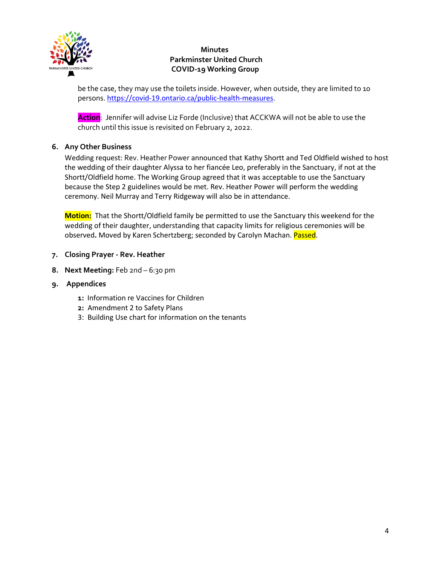

be the case, they may use the toilets inside. However, when outside, they are limited to 10 persons. [https://covid-19.ontario.ca/public-health-measures](about:blank).

**Action**: Jennifer will advise Liz Forde (Inclusive) that ACCKWA will not be able to use the church until this issue is revisited on February 2, 2022.

## **6. Any Other Business**

Wedding request: Rev. Heather Power announced that Kathy Shortt and Ted Oldfield wished to host the wedding of their daughter Alyssa to her fiancée Leo, preferably in the Sanctuary, if not at the Shortt/Oldfield home. The Working Group agreed that it was acceptable to use the Sanctuary because the Step 2 guidelines would be met. Rev. Heather Power will perform the wedding ceremony. Neil Murray and Terry Ridgeway will also be in attendance.

**Motion:** That the Shortt/Oldfield family be permitted to use the Sanctuary this weekend for the wedding of their daughter, understanding that capacity limits for religious ceremonies will be observed**.** Moved by Karen Schertzberg; seconded by Carolyn Machan. Passed.

- **7. Closing Prayer - Rev. Heather**
- **8. Next Meeting:** Feb 2nd 6:30 pm
- **9. Appendices** 
	- **1:** Information re Vaccines for Children
	- **2:** Amendment 2 to Safety Plans
	- 3: Building Use chart for information on the tenants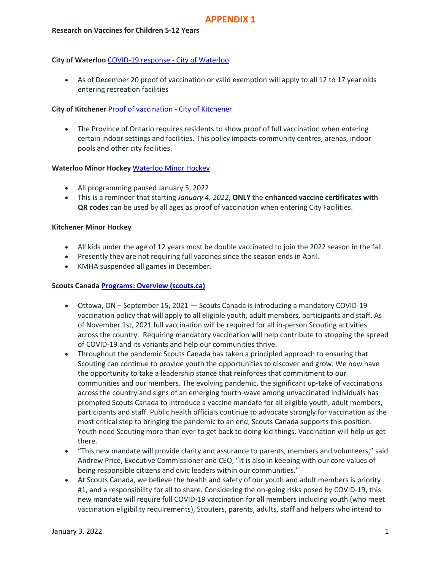### **City of Waterloo** [COVID-19 response -](https://www.waterloo.ca/en/living/covid-19-response.aspx) City of Waterloo

• As of December 20 proof of vaccination or valid exemption will apply to all 12 to 17 year olds entering recreation facilities

### **City of Kitchener [Proof of vaccination -](https://www.kitchener.ca/en/council-and-city-administration/proof-of-vaccination.aspx) City of Kitchener**

• The Province of Ontario requires residents to show proof of full vaccination when entering certain indoor settings and facilities. This policy impacts community centres, arenas, indoor pools and other city facilities.

### **Waterloo Minor Hockey** [Waterloo Minor Hockey](https://waterloominorhockey.com/)

- All programming paused January 5, 2022
- This is a reminder that starting *January 4, 2022*, **ONLY** the **enhanced vaccine certificates with QR codes** can be used by all ages as proof of vaccination when entering City Facilities.

#### **Kitchener Minor Hockey**

- All kids under the age of 12 years must be double vaccinated to join the 2022 season in the fall.
- Presently they are not requiring full vaccines since the season ends in April.
- KMHA suspended all games in December.

#### **Scouts Canada [Programs: Overview \(scouts.ca\)](https://www.scouts.ca/programs/overview.html)**

- Ottawa, ON September 15, 2021 Scouts Canada is introducing a mandatory COVID-19 vaccination policy that will apply to all eligible youth, adult members, participants and staff. As of November 1st, 2021 full vaccination will be required for all in-person Scouting activities across the country. Requiring mandatory vaccination will help contribute to stopping the spread of COVID-19 and its variants and help our communities thrive.
- Throughout the pandemic Scouts Canada has taken a principled approach to ensuring that Scouting can continue to provide youth the opportunities to discover and grow. We now have the opportunity to take a leadership stance that reinforces that commitment to our communities and our members. The evolving pandemic, the significant up-take of vaccinations across the country and signs of an emerging fourth-wave among unvaccinated individuals has prompted Scouts Canada to introduce a vaccine mandate for all eligible youth, adult members, participants and staff. Public health officials continue to advocate strongly for vaccination as the most critical step to bringing the pandemic to an end, Scouts Canada supports this position. Youth need Scouting more than ever to get back to doing kid things. Vaccination will help us get there.
- "This new mandate will provide clarity and assurance to parents, members and volunteers," said Andrew Price, Executive Commissioner and CEO, "It is also in keeping with our core values of being responsible citizens and civic leaders within our communities."
- At Scouts Canada, we believe the health and safety of our youth and adult members is priority #1, and a responsibility for all to share. Considering the on-going risks posed by COVID-19, this new mandate will require full COVID-19 vaccination for all members including youth (who meet vaccination eligibility requirements), Scouters, parents, adults, staff and helpers who intend to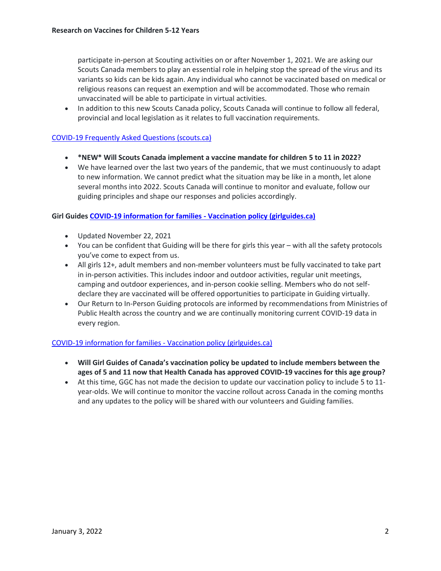participate in-person at Scouting activities on or after November 1, 2021. We are asking our Scouts Canada members to play an essential role in helping stop the spread of the virus and its variants so kids can be kids again. Any individual who cannot be vaccinated based on medical or religious reasons can request an exemption and will be accommodated. Those who remain unvaccinated will be able to participate in virtual activities.

• In addition to this new Scouts Canada policy, Scouts Canada will continue to follow all federal, provincial and local legislation as it relates to full vaccination requirements.

#### [COVID-19 Frequently Asked Questions \(scouts.ca\)](https://www.scouts.ca/news-and-events/covid-19/covid-19-faq.html)

- **[\\*NEW\\* Will Scouts Canada implement a vaccine mandate for children](https://www.scouts.ca/#panel1_5) 5 to 11 in 2022?**
- We have learned over the last two years of the pandemic, that we must continuously to adapt to new information. We cannot predict what the situation may be like in a month, let alone several months into 2022. Scouts Canada will continue to monitor and evaluate, follow our guiding principles and shape our responses and policies accordingly.

#### **Girl Guide[s COVID-19 information for families -](https://www.girlguides.ca/web/GGC/Media/Notices/Articles/Parent_FAQs.aspx) Vaccination policy (girlguides.ca)**

- Updated November 22, 2021
- You can be confident that Guiding will be there for girls this year with all the safety protocols you've come to expect from us.
- All girls 12+, adult members and non-member volunteers must be fully vaccinated to take part in in-person activities. This includes indoor and outdoor activities, regular unit meetings, camping and outdoor experiences, and in-person cookie selling. Members who do not selfdeclare they are vaccinated will be offered opportunities to participate in Guiding virtually.
- Our [Return to In-Person Guiding](https://www.girlguides.ca/web/Custom/BSIDocumentSelector/Pages/DocumentViewer.aspx?id=tbAvUQIA15yqFsDhUuM4gu%252fty2koLgxh0dkK5aD7XV0LMRkrczXWTqq%252fRb17xDO6Vdelr7xSLctneFqY9IJIMcRfb9iJ5n3Mlo0FeI0SY1A5LXttuFJjqgz58FCwMLAIxazhxCVXYUvx8mEiiQaLuiNBSgsf174LkNIpViECliwe8rED2UNouui5VcHmSXyKNWCTopXaOde%252bb7aFOo%252bXDvjwp4dERmmnx4YQP0FewNQ%253d) protocols are informed by recommendations from Ministries of Public Health across the country and we are continually monitoring current COVID-19 data in every region.

#### [COVID-19 information for families -](https://www.girlguides.ca/web/GGC/Media/Notices/Articles/Parent_FAQs.aspx) Vaccination policy (girlguides.ca)

- **Will Girl Guides of Canada's vaccination policy be updated to include members between the ages of 5 and 11 now that Health Canada has approved COVID-19 vaccines for this age group?**
- At this time, GGC has not made the decision to update our vaccination policy to include 5 to 11 year-olds. We will continue to monitor the vaccine rollout across Canada in the coming months and any updates to the policy will be shared with our volunteers and Guiding families.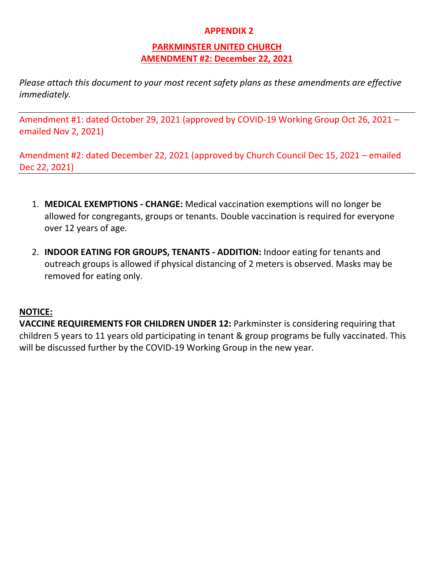# **APPENDIX 2**

# **PARKMINSTER UNITED CHURCH AMENDMENT #2: December 22, 2021**

*Please attach this document to your most recent safety plans as these amendments are effective immediately.*

Amendment #1: dated October 29, 2021 (approved by COVID-19 Working Group Oct 26, 2021 – emailed Nov 2, 2021)

Amendment #2: dated December 22, 2021 (approved by Church Council Dec 15, 2021 – emailed Dec 22, 2021)

- 1. **MEDICAL EXEMPTIONS - CHANGE:** Medical vaccination exemptions will no longer be allowed for congregants, groups or tenants. Double vaccination is required for everyone over 12 years of age.
- 2. **INDOOR EATING FOR GROUPS, TENANTS - ADDITION:** Indoor eating for tenants and outreach groups is allowed if physical distancing of 2 meters is observed. Masks may be removed for eating only.

# **NOTICE:**

**VACCINE REQUIREMENTS FOR CHILDREN UNDER 12:** Parkminster is considering requiring that children 5 years to 11 years old participating in tenant & group programs be fully vaccinated. This will be discussed further by the COVID-19 Working Group in the new year.